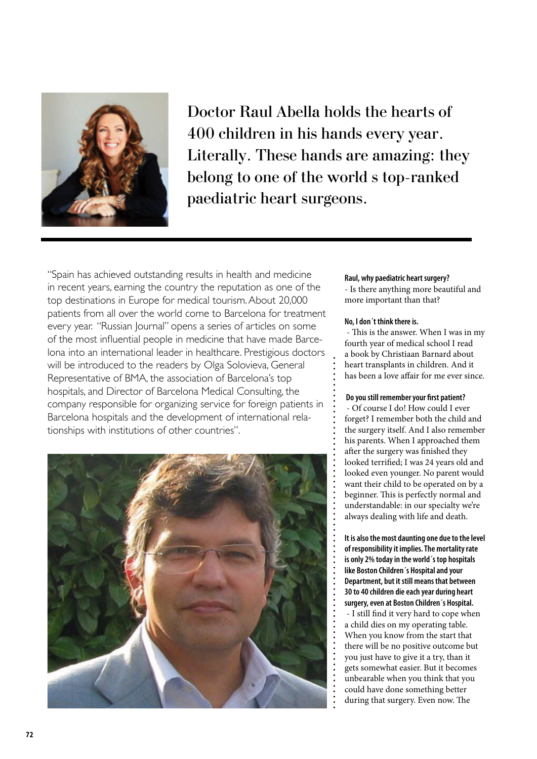

Doctor Raul Abella holds the hearts of 400 children in his hands every year. Literally. These hands are amazing: they belong to one of the world s top-ranked paediatric heart surgeons.

"Spain has achieved outstanding results in health and medicine in recent years, earning the country the reputation as one of the top destinations in Europe for medical tourism. About 20,000 patients from all over the world come to Barcelona for treatment every year. "Russian Journal" opens a series of articles on some of the most influential people in medicine that have made Barcelona into an international leader in healthcare. Prestigious doctors will be introduced to the readers by Olga Solovieva, General Representative of BMA, the association of Barcelona's top hospitals, and Director of Barcelona Medical Consulting, the company responsible for organizing service for foreign patients in Barcelona hospitals and the development of international relationships with institutions of other countries".



## **Raul, why paediatric heart surgery?**

- Is there anything more beautiful and more important than that?

### **No, I don´t think there is.**

 - This is the answer. When I was in my fourth year of medical school I read a book by Christiaan Barnard about heart transplants in children. And it has been a love affair for me ever since.

#### **Do you still remember your first patient?**

 - Of course I do! How could I ever forget? I remember both the child and the surgery itself. And I also remember his parents. When I approached them after the surgery was finished they looked terrified; I was 24 years old and looked even younger. No parent would want their child to be operated on by a beginner. This is perfectly normal and understandable: in our specialty we're always dealing with life and death.

**It is also the most daunting one due to the level of responsibility it implies. The mortality rate is only 2% today in the world´s top hospitals like Boston Children´s Hospital and your Department, but it still means that between 30 to 40 children die each year during heart surgery, even at Boston Children´s Hospital.** - I still find it very hard to cope when a child dies on my operating table. When you know from the start that there will be no positive outcome but you just have to give it a try, than it gets somewhat easier. But it becomes unbearable when you think that you could have done something better during that surgery. Even now. The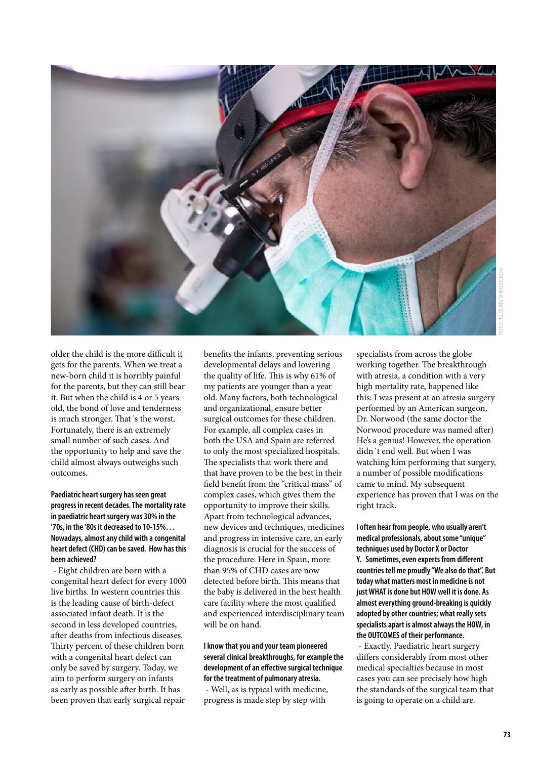

older the child is the more difficult it gets for the parents. When we treat a new-born child it is horribly painful for the parents, but they can still bear it. But when the child is 4 or 5 years old, the bond of love and tenderness is much stronger. That´s the worst. Fortunately, there is an extremely small number of such cases. And the opportunity to help and save the child almost always outweighs such outcomes.

**Paediatric heart surgery has seen great progress in recent decades. The mortality rate in paediatric heart surgery was 30% in the '70s, in the '80s it decreased to 10-15%… Nowadays, almost any child with a congenital heart defect (CHD) can be saved. How has this been achieved?**

 - Eight children are born with a congenital heart defect for every 1000 live births. In western countries this is the leading cause of birth-defect associated infant death. It is the second in less developed countries, after deaths from infectious diseases. Thirty percent of these children born with a congenital heart defect can only be saved by surgery. Today, we aim to perform surgery on infants as early as possible after birth. It has been proven that early surgical repair

benefits the infants, preventing serious developmental delays and lowering the quality of life. This is why 61% of my patients are younger than a year old. Many factors, both technological and organizational, ensure better surgical outcomes for these children. For example, all complex cases in both the USA and Spain are referred to only the most specialized hospitals. The specialists that work there and that have proven to be the best in their field benefit from the "critical mass" of complex cases, which gives them the opportunity to improve their skills. Apart from technological advances, new devices and techniques, medicines and progress in intensive care, an early diagnosis is crucial for the success of the procedure. Here in Spain, more than 95% of CHD cases are now detected before birth. This means that the baby is delivered in the best health care facility where the most qualified and experienced interdisciplinary team will be on hand.

**I know that you and your team pioneered several clinical breakthroughs, for example the development of an effective surgical technique for the treatment of pulmonary atresia.**  - Well, as is typical with medicine, progress is made step by step with

specialists from across the globe working together. The breakthrough with atresia, a condition with a very high mortality rate, happened like this: I was present at an atresia surgery performed by an American surgeon, Dr. Norwood (the same doctor the Norwood procedure was named after) He's a genius! However, the operation didn´t end well. But when I was watching him performing that surgery, a number of possible modifications came to mind. My subsequent experience has proven that I was on the right track.

**I often hear from people, who usually aren't medical professionals, about some "unique" techniques used by Doctor X or Doctor Y. Sometimes, even experts from different countries tell me proudly "We also do that". But today what matters most in medicine is not just WHAT is done but HOW well it is done. As almost everything ground-breaking is quickly adopted by other countries; what really sets specialists apart is almost always the HOW, in the OUTCOMES of their performance.**

 - Exactly. Paediatric heart surgery differs considerably from most other medical specialties because in most cases you can see precisely how high the standards of the surgical team that is going to operate on a child are.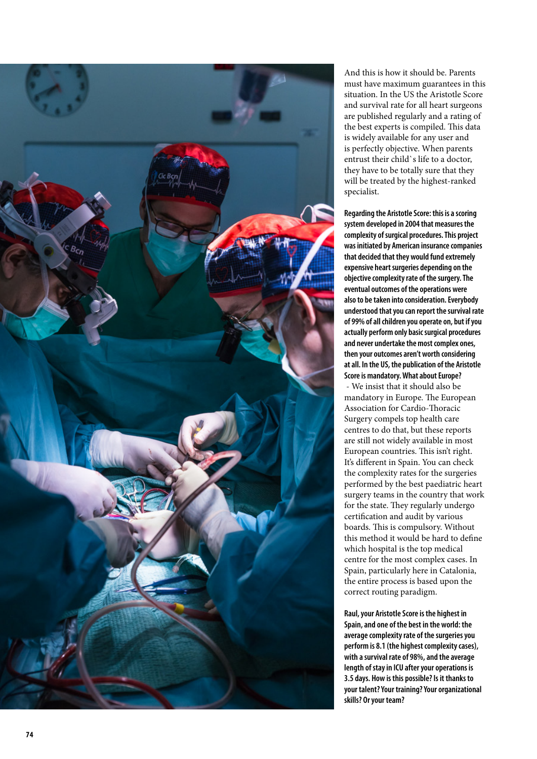

And this is how it should be. Parents must have maximum guarantees in this situation. In the US the Aristotle Score and survival rate for all heart surgeons are published regularly and a rating of the best experts is compiled. This data is widely available for any user and is perfectly objective. When parents entrust their child`s life to a doctor, they have to be totally sure that they will be treated by the highest-ranked specialist.

**Regarding the Aristotle Score: this is a scoring system developed in 2004 that measures the complexity of surgical procedures. This project was initiated by American insurance companies that decided that they would fund extremely expensive heart surgeries depending on the objective complexity rate of the surgery. The eventual outcomes of the operations were also to be taken into consideration. Everybody understood that you can report the survival rate of 99% of all children you operate on, but if you actually perform only basic surgical procedures and never undertake the most complex ones, then your outcomes aren't worth considering at all. In the US, the publication of the Aristotle Score is mandatory. What about Europe?**  - We insist that it should also be mandatory in Europe. The European Association for Cardio-Thoracic Surgery compels top health care centres to do that, but these reports are still not widely available in most European countries. This isn't right. It's different in Spain. You can check the complexity rates for the surgeries performed by the best paediatric heart surgery teams in the country that work for the state. They regularly undergo certification and audit by various boards. This is compulsory. Without this method it would be hard to define which hospital is the top medical centre for the most complex cases. In Spain, particularly here in Catalonia, the entire process is based upon the correct routing paradigm.

**Raul, your Aristotle Score is the highest in Spain, and one of the best in the world: the average complexity rate of the surgeries you perform is 8.1 (the highest complexity cases), with a survival rate of 98%, and the average length of stay in ICU after your operations is 3.5 days. How is this possible? Is it thanks to your talent? Your training? Your organizational skills? Or your team?**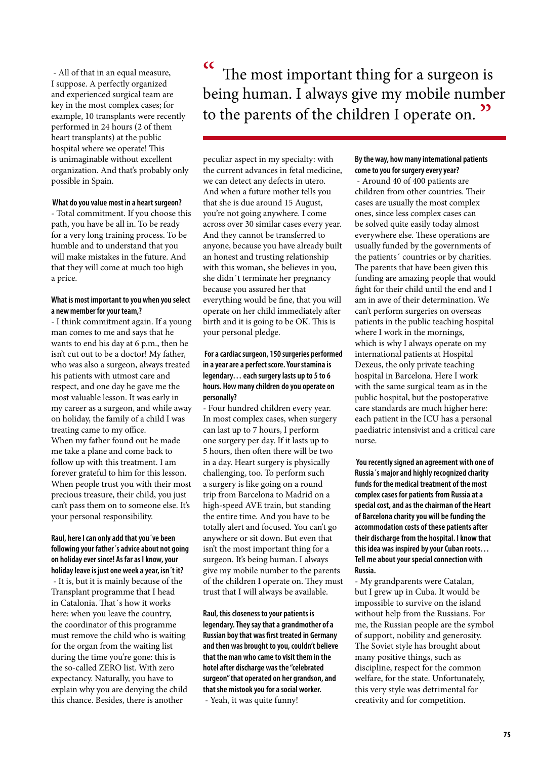- All of that in an equal measure, I suppose. A perfectly organized and experienced surgical team are key in the most complex cases; for example, 10 transplants were recently performed in 24 hours (2 of them heart transplants) at the public hospital where we operate! This is unimaginable without excellent organization. And that's probably only possible in Spain.

#### **What do you value most in a heart surgeon?**

- Total commitment. If you choose this path, you have be all in. To be ready for a very long training process. To be humble and to understand that you will make mistakes in the future. And that they will come at much too high a price.

### **What is most important to you when you select a new member for your team,?**

- I think commitment again. If a young man comes to me and says that he wants to end his day at 6 p.m., then he isn't cut out to be a doctor! My father, who was also a surgeon, always treated his patients with utmost care and respect, and one day he gave me the most valuable lesson. It was early in my career as a surgeon, and while away on holiday, the family of a child I was treating came to my office. When my father found out he made me take a plane and come back to follow up with this treatment. I am forever grateful to him for this lesson. When people trust you with their most precious treasure, their child, you just can't pass them on to someone else. It's your personal responsibility.

# **Raul, here I can only add that you´ve been following your father´s advice about not going on holiday ever since! As far as I know, your holiday leave is just one week a year, isn´t it?**

 - It is, but it is mainly because of the Transplant programme that I head in Catalonia. That´s how it works here: when you leave the country, the coordinator of this programme must remove the child who is waiting for the organ from the waiting list during the time you're gone: this is the so-called ZERO list. With zero expectancy. Naturally, you have to explain why you are denying the child this chance. Besides, there is another

" The most important thing for a surgeon is being human. I always give my mobile number to the parents of the children I operate on.<sup>33</sup>

peculiar aspect in my specialty: with the current advances in fetal medicine, we can detect any defects in utero. And when a future mother tells you that she is due around 15 August, you're not going anywhere. I come across over 30 similar cases every year. And they cannot be transferred to anyone, because you have already built an honest and trusting relationship with this woman, she believes in you, she didn´t terminate her pregnancy because you assured her that everything would be fine, that you will operate on her child immediately after birth and it is going to be OK. This is your personal pledge.

# **For a cardiac surgeon, 150 surgeries performed in a year are a perfect score. Your stamina is legendary… each surgery lasts up to 5 to 6 hours. How many children do you operate on personally?**

- Four hundred children every year. In most complex cases, when surgery can last up to 7 hours, I perform one surgery per day. If it lasts up to 5 hours, then often there will be two in a day. Heart surgery is physically challenging, too. To perform such a surgery is like going on a round trip from Barcelona to Madrid on a high-speed AVE train, but standing the entire time. And you have to be totally alert and focused. You can't go anywhere or sit down. But even that isn't the most important thing for a surgeon. It's being human. I always give my mobile number to the parents of the children I operate on. They must trust that I will always be available.

**Raul, this closeness to your patients is legendary. They say that a grandmother of a Russian boy that was first treated in Germany and then was brought to you, couldn't believe that the man who came to visit them in the hotel after discharge was the "celebrated surgeon" that operated on her grandson, and that she mistook you for a social worker.** - Yeah, it was quite funny!

## **By the way, how many international patients come to you for surgery every year?**

 - Around 40 of 400 patients are children from other countries. Their cases are usually the most complex ones, since less complex cases can be solved quite easily today almost everywhere else. These operations are usually funded by the governments of the patients´ countries or by charities. The parents that have been given this funding are amazing people that would fight for their child until the end and I am in awe of their determination. We can't perform surgeries on overseas patients in the public teaching hospital where I work in the mornings, which is why I always operate on my international patients at Hospital Dexeus, the only private teaching hospital in Barcelona. Here I work with the same surgical team as in the public hospital, but the postoperative care standards are much higher here: each patient in the ICU has a personal paediatric intensivist and a critical care nurse.

 **You recently signed an agreement with one of Russia´s major and highly recognized charity funds for the medical treatment of the most complex cases for patients from Russia at a special cost, and as the chairman of the Heart of Barcelona charity you will be funding the accommodation costs of these patients after their discharge from the hospital. I know that this idea was inspired by your Cuban roots… Tell me about your special connection with Russia.**

- My grandparents were Catalan, but I grew up in Cuba. It would be impossible to survive on the island without help from the Russians. For me, the Russian people are the symbol of support, nobility and generosity. The Soviet style has brought about many positive things, such as discipline, respect for the common welfare, for the state. Unfortunately, this very style was detrimental for creativity and for competition.